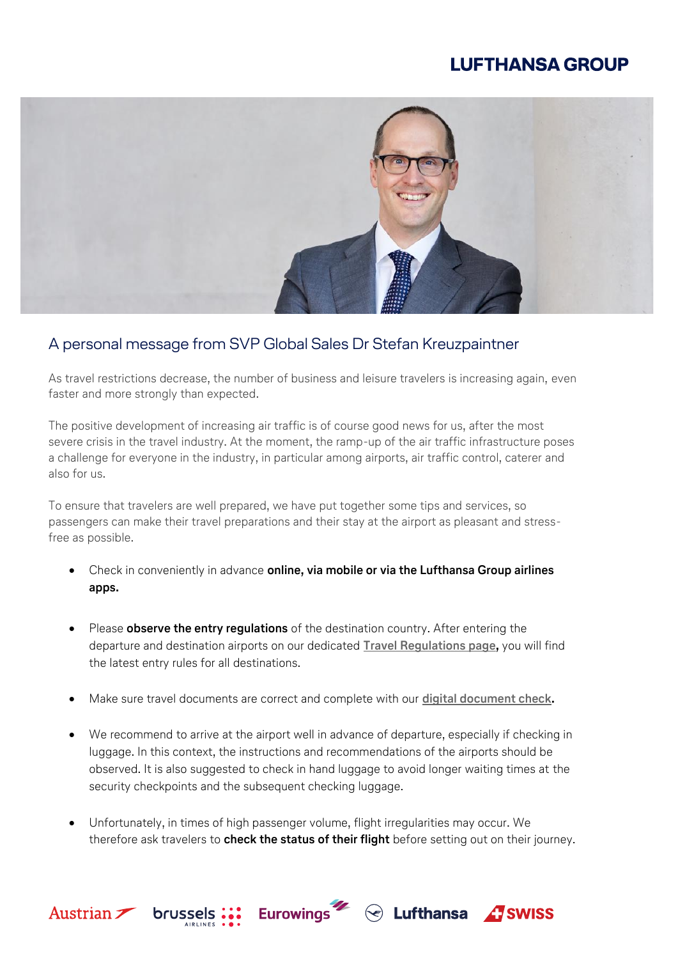## **LUFTHANSA GROUP**



## A personal message from SVP Global Sales Dr Stefan Kreuzpaintner

As travel restrictions decrease, the number of business and leisure travelers is increasing again, even faster and more strongly than expected.

The positive development of increasing air traffic is of course good news for us, after the most severe crisis in the travel industry. At the moment, the ramp-up of the air traffic infrastructure poses a challenge for everyone in the industry, in particular among airports, air traffic control, caterer and also for us.

To ensure that travelers are well prepared, we have put together some tips and services, so passengers can make their travel preparations and their stay at the airport as pleasant and stressfree as possible.

- Check in conveniently in advance **online, via mobile or via the Lufthansa Group airlines apps.**
- Please **observe the entry regulations** of the destination country. After entering the departure and destination airports on our dedicated **[Travel Regulations page,](https://lufthansa.travel-regulations.com/?language=en)** you will find the latest entry rules for all destinations.
- Make sure travel documents are correct and complete with our **[digital document check.](https://www.lufthansa.com/de/en/digital-document-check)**
- We recommend to arrive at the airport well in advance of departure, especially if checking in luggage. In this context, the instructions and recommendations of the airports should be observed. It is also suggested to check in hand luggage to avoid longer waiting times at the security checkpoints and the subsequent checking luggage.
- Unfortunately, in times of high passenger volume, flight irregularities may occur. We therefore ask travelers to **check the status of their flight** before setting out on their journey.

**Eurowings** 

**Intern**

 $\textcircled{}$  Lufthansa  $\textcircled{}$  SWISS